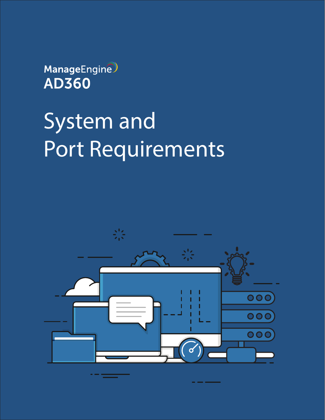ManageEngine **AD360** 

# System and Port Requirements

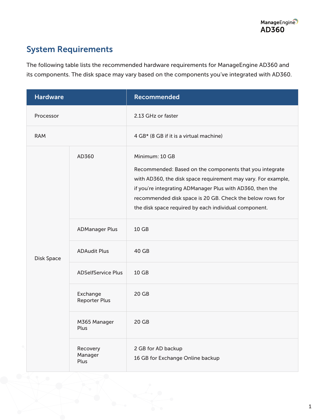## System Requirements

The following table lists the recommended hardware requirements for ManageEngine AD360 and its components. The disk space may vary based on the components you've integrated with AD360.

| <b>Hardware</b> |                                  | <b>Recommended</b>                                                                                                                                                                                                                                                                                                            |
|-----------------|----------------------------------|-------------------------------------------------------------------------------------------------------------------------------------------------------------------------------------------------------------------------------------------------------------------------------------------------------------------------------|
| Processor       |                                  | 2.13 GHz or faster                                                                                                                                                                                                                                                                                                            |
| <b>RAM</b>      |                                  | 4 GB* (8 GB if it is a virtual machine)                                                                                                                                                                                                                                                                                       |
| Disk Space      | AD360                            | Minimum: 10 GB<br>Recommended: Based on the components that you integrate<br>with AD360, the disk space requirement may vary. For example,<br>if you're integrating ADManager Plus with AD360, then the<br>recommended disk space is 20 GB. Check the below rows for<br>the disk space required by each individual component. |
|                 | <b>ADManager Plus</b>            | 10 GB                                                                                                                                                                                                                                                                                                                         |
|                 | <b>ADAudit Plus</b>              | 40 GB                                                                                                                                                                                                                                                                                                                         |
|                 | <b>ADSelfService Plus</b>        | 10 GB                                                                                                                                                                                                                                                                                                                         |
|                 | Exchange<br><b>Reporter Plus</b> | $20$ GB                                                                                                                                                                                                                                                                                                                       |
|                 | M365 Manager<br>Plus             | 20 <sub>GB</sub>                                                                                                                                                                                                                                                                                                              |
|                 | Recovery<br>Manager<br>Plus      | 2 GB for AD backup<br>16 GB for Exchange Online backup                                                                                                                                                                                                                                                                        |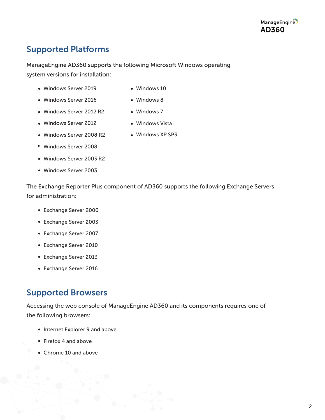### Supported Platforms

ManageEngine AD360 supports the following Microsoft Windows operating system versions for installation:

Windows Server 2019

Windows Server 2012 R2

Windows 10

• Windows 8

- Windows Server 2016
- Windows 7
- Windows Server 2012 Windows Vista
- Windows Server 2008 R2
- 
- 
- Windows XP SP3
- Windows Server 2008
- Windows Server 2003 R2
- Windows Server 2003

The Exchange Reporter Plus component of AD360 supports the following Exchange Servers for administration:

- Exchange Server 2000
- Exchange Server 2003
- Exchange Server 2007
- Exchange Server 2010
- Exchange Server 2013
- Exchange Server 2016

#### Supported Browsers

Accessing the web console of ManageEngine AD360 and its components requires one of the following browsers:

- Internet Explorer 9 and above
- Firefox 4 and above
- Chrome 10 and above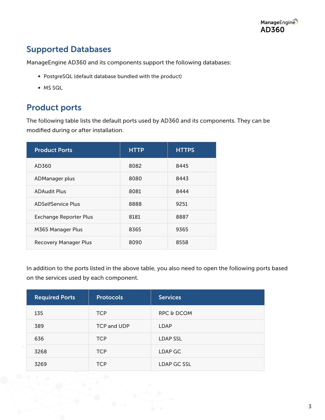#### Supported Databases

ManageEngine AD360 and its components support the following databases:

- PostgreSQL (default database bundled with the product)
- MS SQL

#### Product ports

The following table lists the default ports used by AD360 and its components. They can be modified during or after installation.

| <b>Product Ports</b>          | <b>HTTP</b> | <b>HTTPS</b> |
|-------------------------------|-------------|--------------|
| AD360                         | 8082        | 8445         |
| ADManager plus                | 8080        | 8443         |
| <b>ADAudit Plus</b>           | 8081        | 8444         |
| ADSelfService Plus            | 8888        | 9251         |
| <b>Exchange Reporter Plus</b> | 8181        | 8887         |
| M365 Manager Plus             | 8365        | 9365         |
| <b>Recovery Manager Plus</b>  | 8090        | 8558         |

In addition to the ports listed in the above table, you also need to open the following ports based on the services used by each component.

| <b>Required Ports</b> | <b>Protocols</b>   | <b>Services</b>       |
|-----------------------|--------------------|-----------------------|
| 135                   | <b>TCP</b>         | <b>RPC &amp; DCOM</b> |
| 389                   | <b>TCP and UDP</b> | <b>LDAP</b>           |
| 636                   | <b>TCP</b>         | <b>LDAP SSL</b>       |
| 3268                  | <b>TCP</b>         | LDAP GC               |
| 3269                  | <b>TCP</b>         | LDAP GC SSL           |